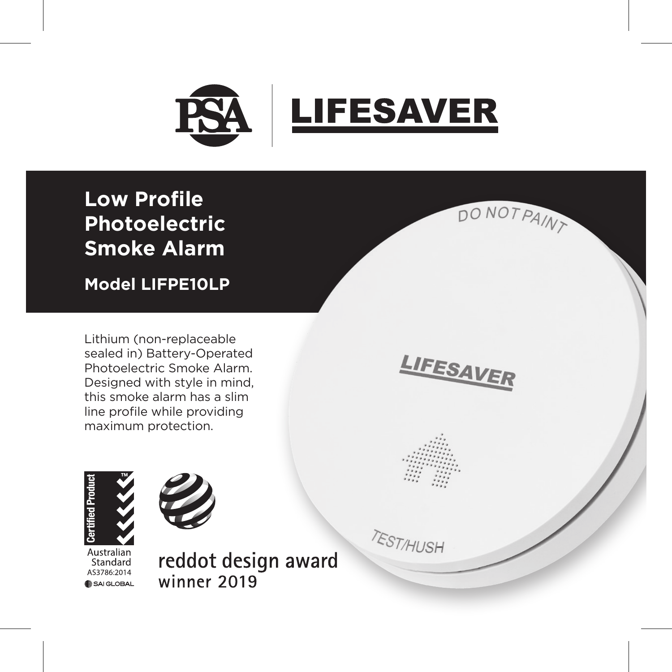

DO NOT PAINT

LIFESAVER

**TEST/HUSH** 

**Low Profile Photoelectric Smoke Alarm**

**Model LIFPE10LP**

Lithium (non-replaceable sealed in) Battery-Operated Photoelectric Smoke Alarm. Designed with style in mind, this smoke alarm has a slim line profile while providing maximum protection.





Australian Standard AS3786:2014 SAI GLOBAL reddot design award winner 2019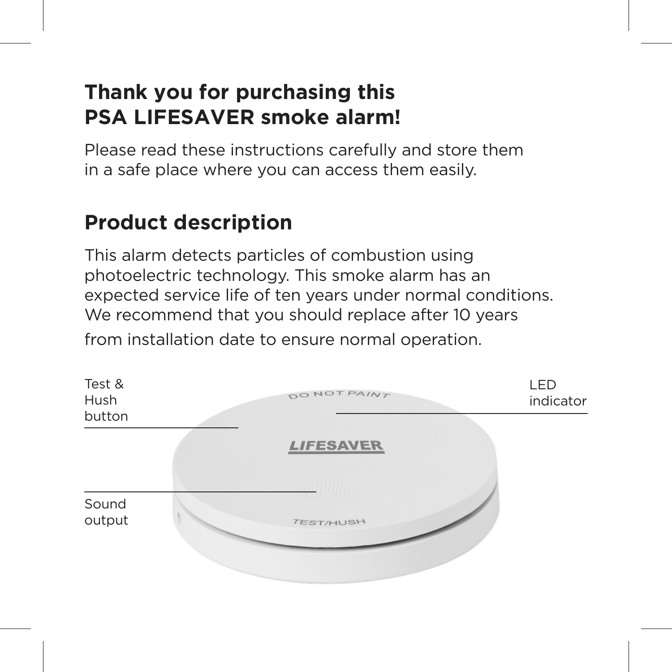#### **Thank you for purchasing this PSA LIFESAVER smoke alarm!**

Please read these instructions carefully and store them in a safe place where you can access them easily.

## **Product description**

This alarm detects particles of combustion using photoelectric technology. This smoke alarm has an expected service life of ten years under normal conditions. We recommend that you should replace after 10 years from installation date to ensure normal operation.

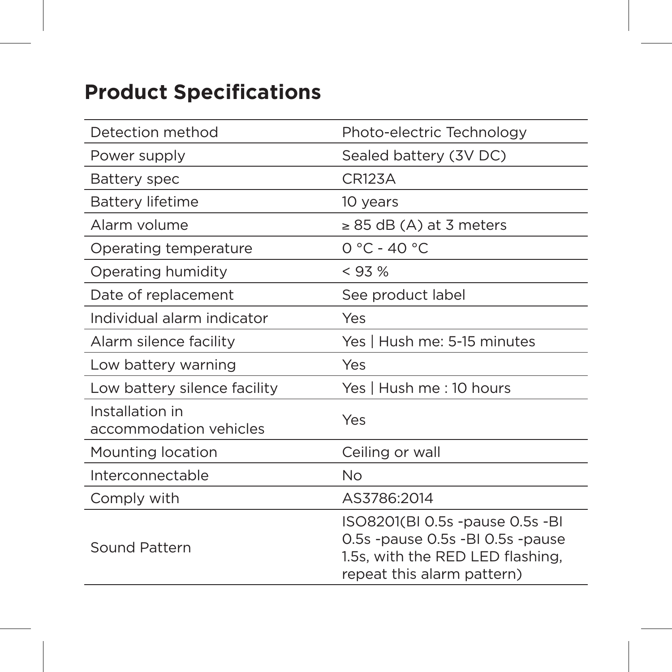# **Product Specifications**

| Detection method                          | Photo-electric Technology                                                                                                             |  |
|-------------------------------------------|---------------------------------------------------------------------------------------------------------------------------------------|--|
| Power supply                              | Sealed battery (3V DC)                                                                                                                |  |
| <b>Battery spec</b>                       | <b>CR123A</b>                                                                                                                         |  |
| Battery lifetime                          | 10 years                                                                                                                              |  |
| Alarm volume                              | $\geq$ 85 dB (A) at 3 meters                                                                                                          |  |
| Operating temperature                     | $0 °C - 40 °C$                                                                                                                        |  |
| Operating humidity                        | < 93%                                                                                                                                 |  |
| Date of replacement                       | See product label                                                                                                                     |  |
| Individual alarm indicator                | Yes                                                                                                                                   |  |
| Alarm silence facility                    | Yes   Hush me: 5-15 minutes                                                                                                           |  |
| Low battery warning                       | Yes                                                                                                                                   |  |
| Low battery silence facility              | Yes   Hush me : 10 hours                                                                                                              |  |
| Installation in<br>accommodation vehicles | Yes                                                                                                                                   |  |
| Mounting location                         | Ceiling or wall                                                                                                                       |  |
| Interconnectable                          | No                                                                                                                                    |  |
| Comply with                               | AS3786:2014                                                                                                                           |  |
| Sound Pattern                             | ISO8201(BI 0.5s -pause 0.5s -BI<br>0.5s -pause 0.5s -BI 0.5s -pause<br>1.5s, with the RED LED flashing,<br>repeat this alarm pattern) |  |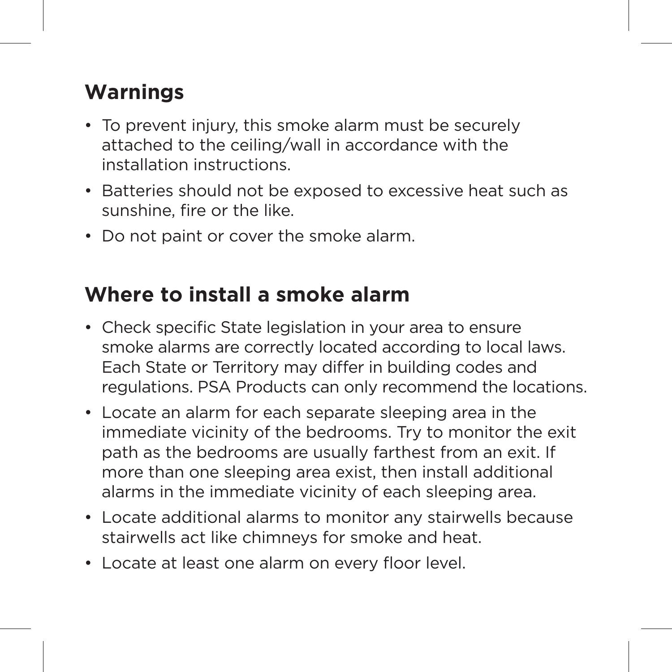# **Warnings**

- To prevent injury, this smoke alarm must be securely attached to the ceiling/wall in accordance with the installation instructions.
- Batteries should not be exposed to excessive heat such as sunshine, fire or the like.
- Do not paint or cover the smoke alarm.

#### **Where to install a smoke alarm**

- Check specific State legislation in your area to ensure smoke alarms are correctly located according to local laws. Each State or Territory may differ in building codes and regulations. PSA Products can only recommend the locations.
- Locate an alarm for each separate sleeping area in the immediate vicinity of the bedrooms. Try to monitor the exit path as the bedrooms are usually farthest from an exit. If more than one sleeping area exist, then install additional alarms in the immediate vicinity of each sleeping area.
- Locate additional alarms to monitor any stairwells because stairwells act like chimneys for smoke and heat.
- Locate at least one alarm on every floor level.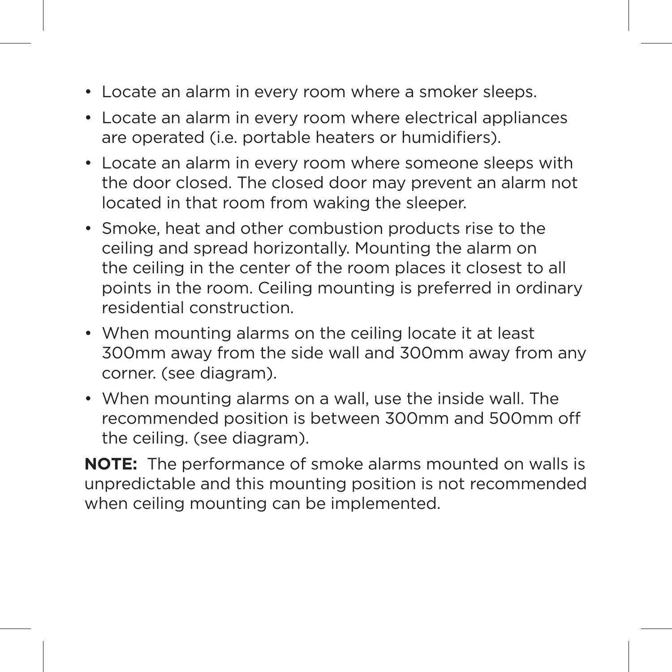- Locate an alarm in every room where a smoker sleeps.
- Locate an alarm in every room where electrical appliances are operated (i.e. portable heaters or humidifiers).
- Locate an alarm in every room where someone sleeps with the door closed. The closed door may prevent an alarm not located in that room from waking the sleeper.
- Smoke, heat and other combustion products rise to the ceiling and spread horizontally. Mounting the alarm on the ceiling in the center of the room places it closest to all points in the room. Ceiling mounting is preferred in ordinary residential construction.
- When mounting alarms on the ceiling locate it at least 300mm away from the side wall and 300mm away from any corner. (see diagram).
- When mounting alarms on a wall, use the inside wall. The recommended position is between 300mm and 500mm off the ceiling. (see diagram).

**NOTE:** The performance of smoke alarms mounted on walls is unpredictable and this mounting position is not recommended when ceiling mounting can be implemented.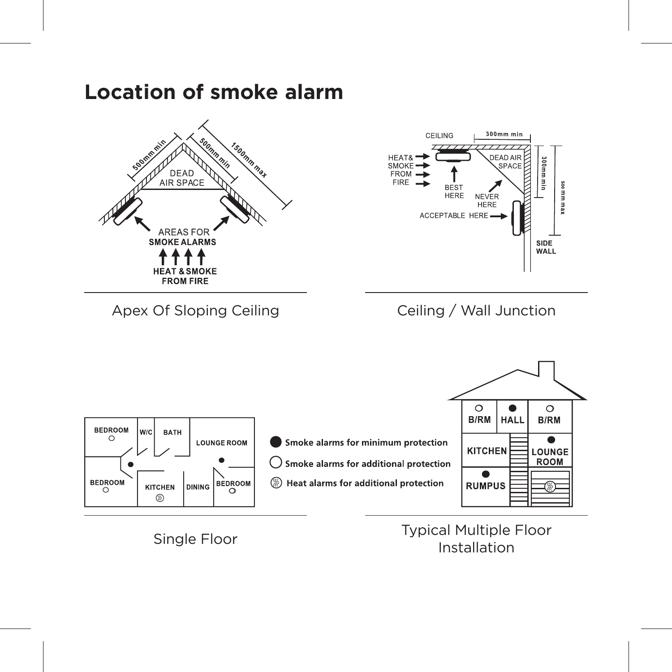#### **Location of smoke alarm**



Single Floor Typical Multiple Floor Installation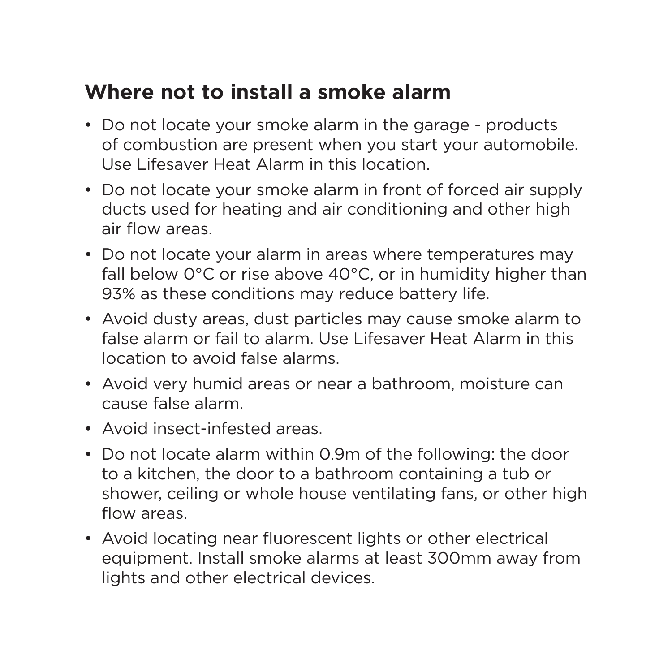#### **Where not to install a smoke alarm**

- Do not locate your smoke alarm in the garage products of combustion are present when you start your automobile. Use Lifesaver Heat Alarm in this location.
- Do not locate your smoke alarm in front of forced air supply ducts used for heating and air conditioning and other high air flow areas.
- Do not locate your alarm in areas where temperatures may fall below 0°C or rise above 40°C, or in humidity higher than 93% as these conditions may reduce battery life.
- Avoid dusty areas, dust particles may cause smoke alarm to false alarm or fail to alarm. Use Lifesaver Heat Alarm in this location to avoid false alarms.
- Avoid very humid areas or near a bathroom, moisture can cause false alarm.
- Avoid insect-infested areas.
- Do not locate alarm within 0.9m of the following: the door to a kitchen, the door to a bathroom containing a tub or shower, ceiling or whole house ventilating fans, or other high flow areas.
- Avoid locating near fluorescent lights or other electrical equipment. Install smoke alarms at least 300mm away from lights and other electrical devices.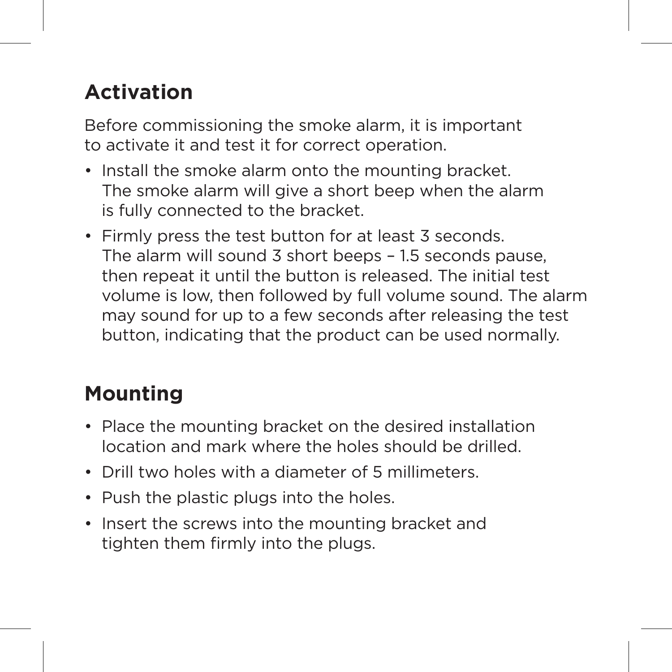# **Activation**

Before commissioning the smoke alarm, it is important to activate it and test it for correct operation.

- Install the smoke alarm onto the mounting bracket. The smoke alarm will give a short beep when the alarm is fully connected to the bracket.
- Firmly press the test button for at least 3 seconds. The alarm will sound 3 short beeps – 1.5 seconds pause, then repeat it until the button is released. The initial test volume is low, then followed by full volume sound. The alarm may sound for up to a few seconds after releasing the test button, indicating that the product can be used normally.

# **Mounting**

- Place the mounting bracket on the desired installation location and mark where the holes should be drilled.
- Drill two holes with a diameter of 5 millimeters.
- Push the plastic plugs into the holes.
- Insert the screws into the mounting bracket and tighten them firmly into the plugs.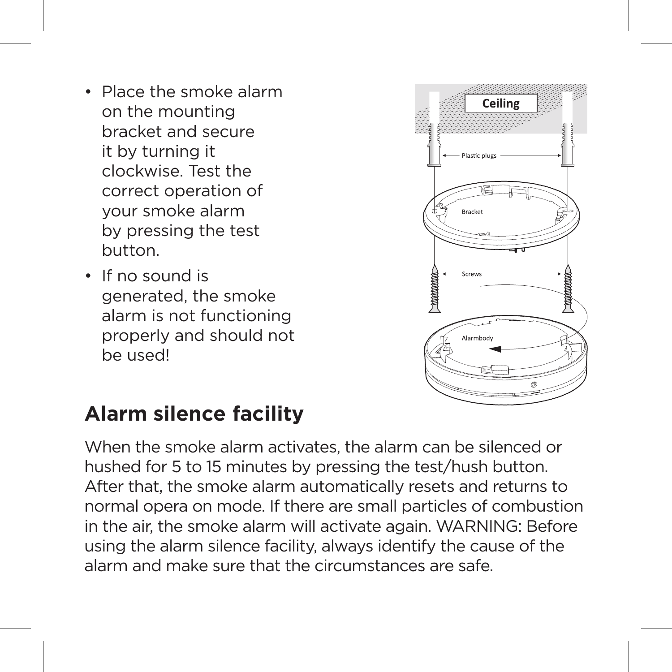- Place the smoke alarm on the mounting bracket and secure it by turning it clockwise. Test the correct operation of your smoke alarm by pressing the test button.
- If no sound is generated, the smoke alarm is not functioning properly and should not be used!



#### **Alarm silence facility**

When the smoke alarm activates, the alarm can be silenced or hushed for 5 to 15 minutes by pressing the test/hush button. After that, the smoke alarm automatically resets and returns to normal opera on mode. If there are small particles of combustion in the air, the smoke alarm will activate again. WARNING: Before using the alarm silence facility, always identify the cause of the alarm and make sure that the circumstances are safe.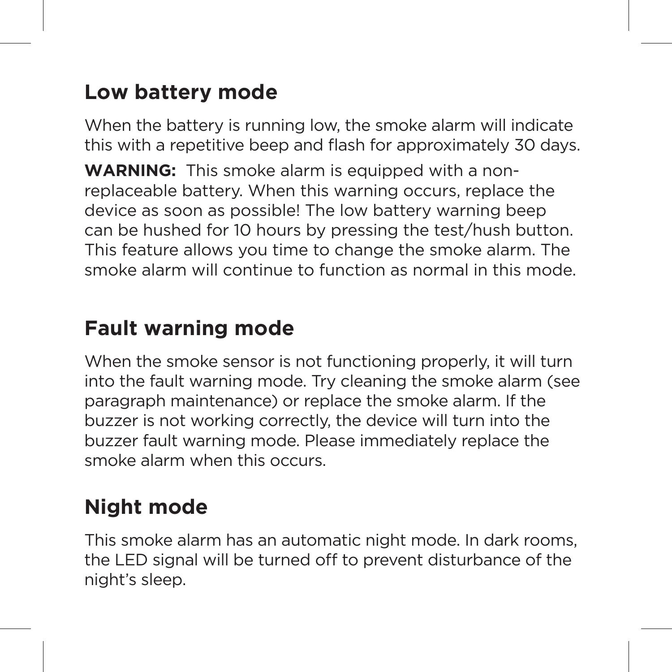## **Low battery mode**

When the battery is running low, the smoke alarm will indicate this with a repetitive beep and flash for approximately 30 days.

**WARNING:** This smoke alarm is equipped with a nonreplaceable battery. When this warning occurs, replace the device as soon as possible! The low battery warning beep can be hushed for 10 hours by pressing the test/hush button. This feature allows you time to change the smoke alarm. The smoke alarm will continue to function as normal in this mode.

## **Fault warning mode**

When the smoke sensor is not functioning properly, it will turn into the fault warning mode. Try cleaning the smoke alarm (see paragraph maintenance) or replace the smoke alarm. If the buzzer is not working correctly, the device will turn into the buzzer fault warning mode. Please immediately replace the smoke alarm when this occurs.

## **Night mode**

This smoke alarm has an automatic night mode. In dark rooms, the LED signal will be turned off to prevent disturbance of the night's sleep.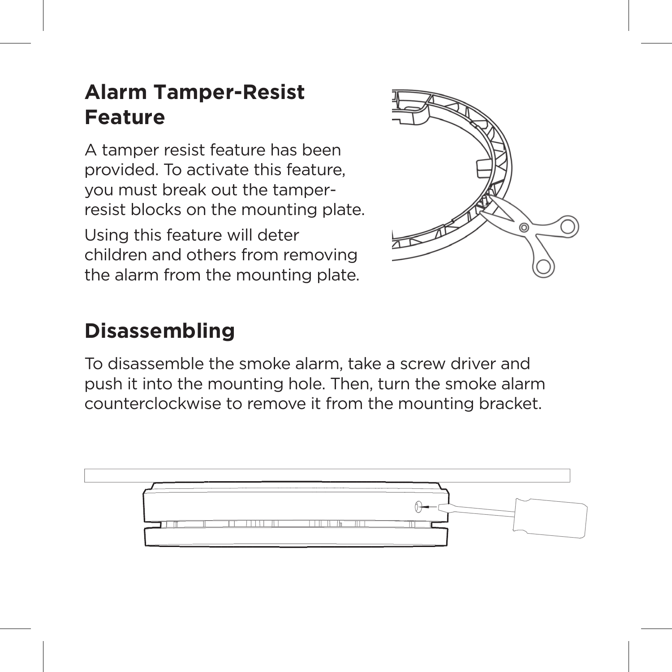## **Alarm Tamper-Resist Feature**

A tamper resist feature has been provided. To activate this feature, you must break out the tamperresist blocks on the mounting plate.

Using this feature will deter children and others from removing the alarm from the mounting plate.



## **Disassembling**

To disassemble the smoke alarm, take a screw driver and push it into the mounting hole. Then, turn the smoke alarm counterclockwise to remove it from the mounting bracket.

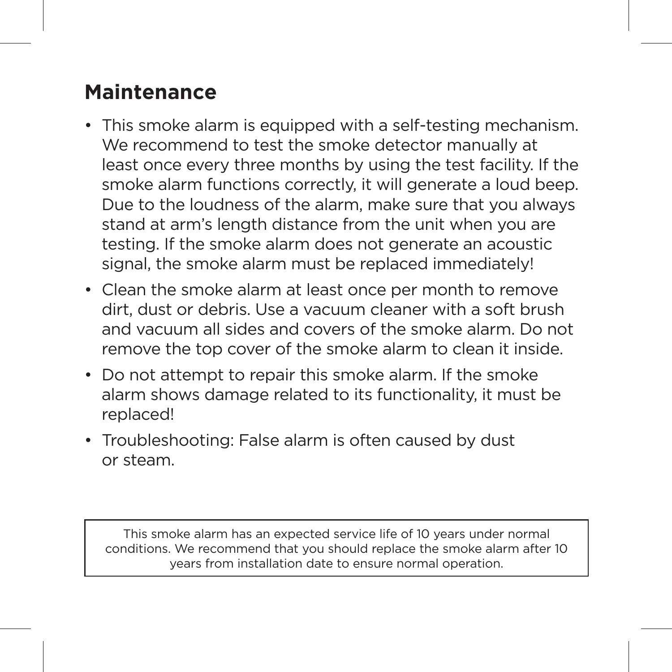#### **Maintenance**

- This smoke alarm is equipped with a self-testing mechanism. We recommend to test the smoke detector manually at least once every three months by using the test facility. If the smoke alarm functions correctly, it will generate a loud beep. Due to the loudness of the alarm, make sure that you always stand at arm's length distance from the unit when you are testing. If the smoke alarm does not generate an acoustic signal, the smoke alarm must be replaced immediately!
- Clean the smoke alarm at least once per month to remove dirt, dust or debris. Use a vacuum cleaner with a soft brush and vacuum all sides and covers of the smoke alarm. Do not remove the top cover of the smoke alarm to clean it inside.
- Do not attempt to repair this smoke alarm. If the smoke alarm shows damage related to its functionality, it must be replaced!
- Troubleshooting: False alarm is often caused by dust or steam.

This smoke alarm has an expected service life of 10 years under normal conditions. We recommend that you should replace the smoke alarm after 10 years from installation date to ensure normal operation.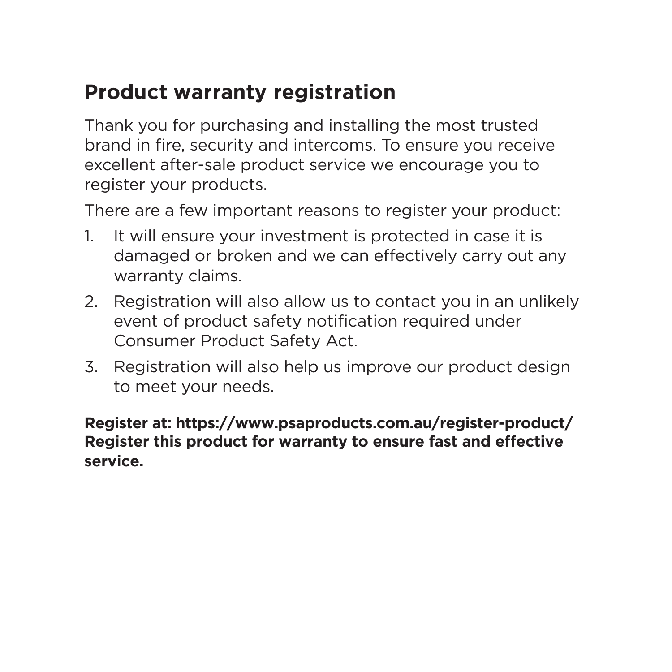#### **Product warranty registration**

Thank you for purchasing and installing the most trusted brand in fire, security and intercoms. To ensure you receive excellent after-sale product service we encourage you to register your products.

There are a few important reasons to register your product:

- 1. It will ensure your investment is protected in case it is damaged or broken and we can effectively carry out any warranty claims.
- 2. Registration will also allow us to contact you in an unlikely event of product safety notification required under Consumer Product Safety Act.
- 3. Registration will also help us improve our product design to meet your needs.

#### **Register at: https://www.psaproducts.com.au/register-product/ Register this product for warranty to ensure fast and effective service.**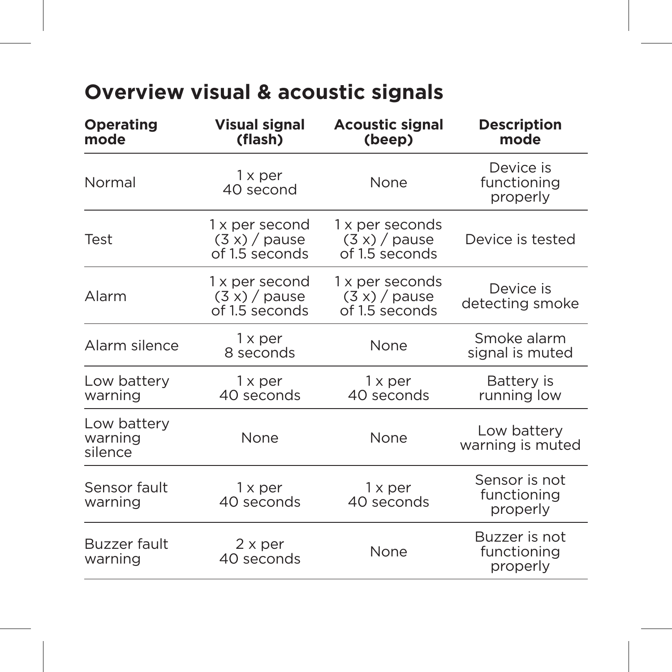# **Overview visual & acoustic signals**

| Operating<br>mode                 | <b>Visual signal</b><br>(flash)                     | <b>Acoustic signal</b><br>(beep)                     | <b>Description</b><br>mode               |
|-----------------------------------|-----------------------------------------------------|------------------------------------------------------|------------------------------------------|
| Normal                            | 1 x per<br>40 second                                | None                                                 | Device is<br>functioning<br>properly     |
| Test                              | 1 x per second<br>$(3x)$ / pause<br>of 1.5 seconds  | 1 x per seconds<br>$(3 x) /$ pause<br>of 1.5 seconds | Device is tested                         |
| Alarm                             | 1 x per second<br>$(3 x) /$ pause<br>of 1.5 seconds | 1 x per seconds<br>$(3 x) /$ pause<br>of 1.5 seconds | Device is<br>detecting smoke             |
| Alarm silence                     | 1 x per<br>8 seconds                                | None                                                 | Smoke alarm<br>signal is muted           |
| Low battery<br>warning            | $1 \times per$<br>40 seconds                        | $1 \times per$<br>40 seconds                         | Battery is<br>running low                |
| Low battery<br>warning<br>silence | None                                                | None                                                 | Low battery<br>warning is muted          |
| Sensor fault<br>warning           | 1 x per<br>40 seconds                               | $1 \times per$<br>40 seconds                         | Sensor is not<br>functioning<br>properly |
| Buzzer fault<br>warning           | $2 \times per$<br>40 seconds                        | None                                                 | Buzzer is not<br>functioning<br>properly |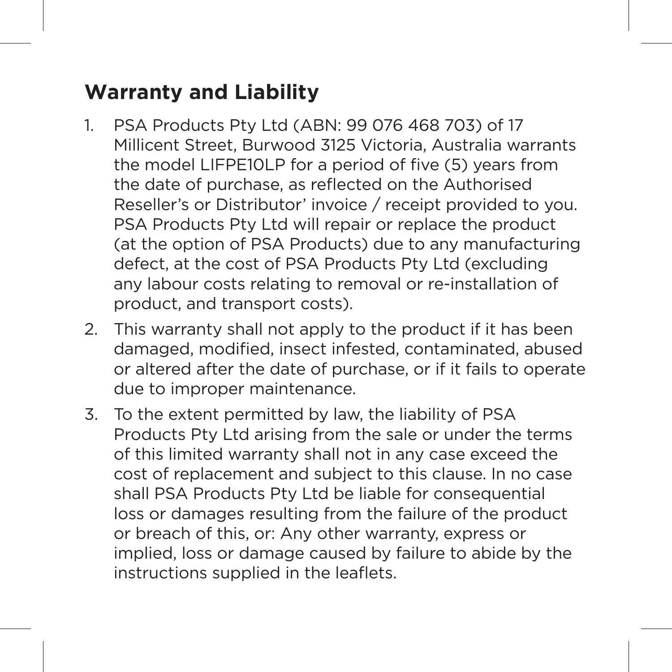## **Warranty and Liability**

- 1. PSA Products Pty Ltd (ABN: 99 076 468 703) of 17 Millicent Street, Burwood 3125 Victoria, Australia warrants the model LIFPE10LP for a period of five (5) years from the date of purchase, as reflected on the Authorised Reseller's or Distributor' invoice / receipt provided to you. PSA Products Pty Ltd will repair or replace the product (at the option of PSA Products) due to any manufacturing defect, at the cost of PSA Products Pty Ltd (excluding any labour costs relating to removal or re-installation of product, and transport costs).
- 2. This warranty shall not apply to the product if it has been damaged, modified, insect infested, contaminated, abused or altered after the date of purchase, or if it fails to operate due to improper maintenance.
- 3. To the extent permitted by law, the liability of PSA Products Pty Ltd arising from the sale or under the terms of this limited warranty shall not in any case exceed the cost of replacement and subject to this clause. In no case shall PSA Products Pty Ltd be liable for consequential loss or damages resulting from the failure of the product or breach of this, or: Any other warranty, express or implied, loss or damage caused by failure to abide by the instructions supplied in the leaflets.